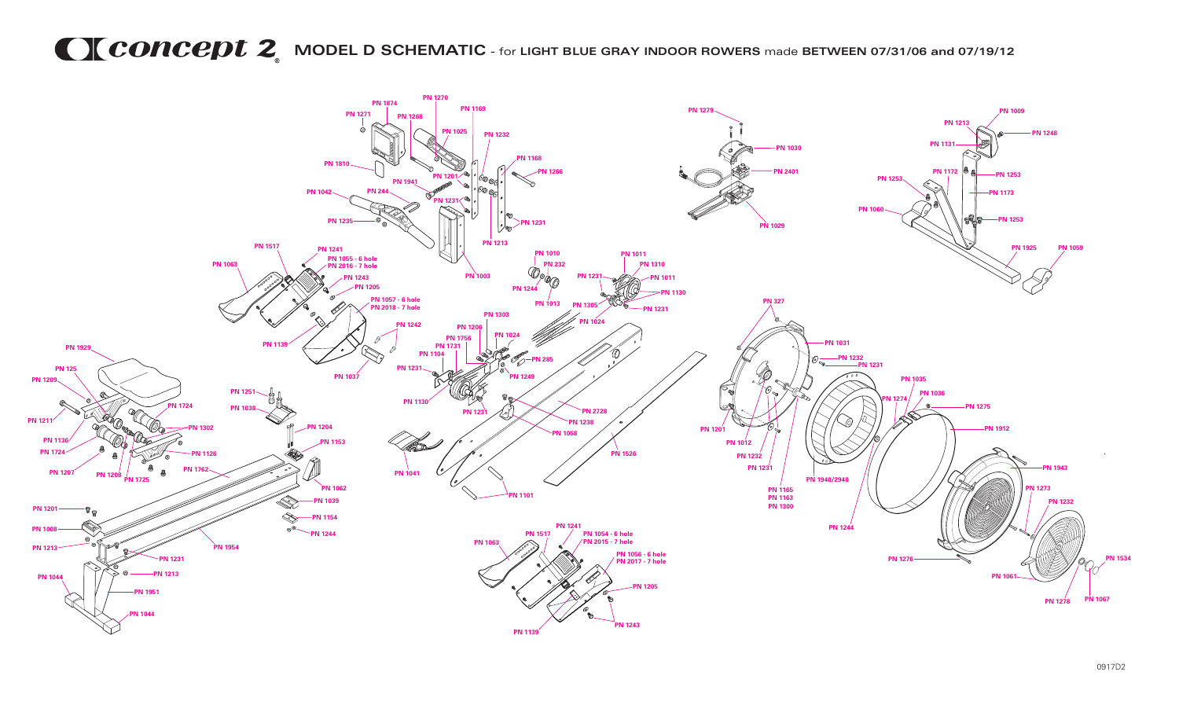## **MODEL D SCHEMATIC** - for **LIGHT BLUE GRAY INDOOR ROWERS** made **BETWEEN 07/31/06 and 07/19/12**